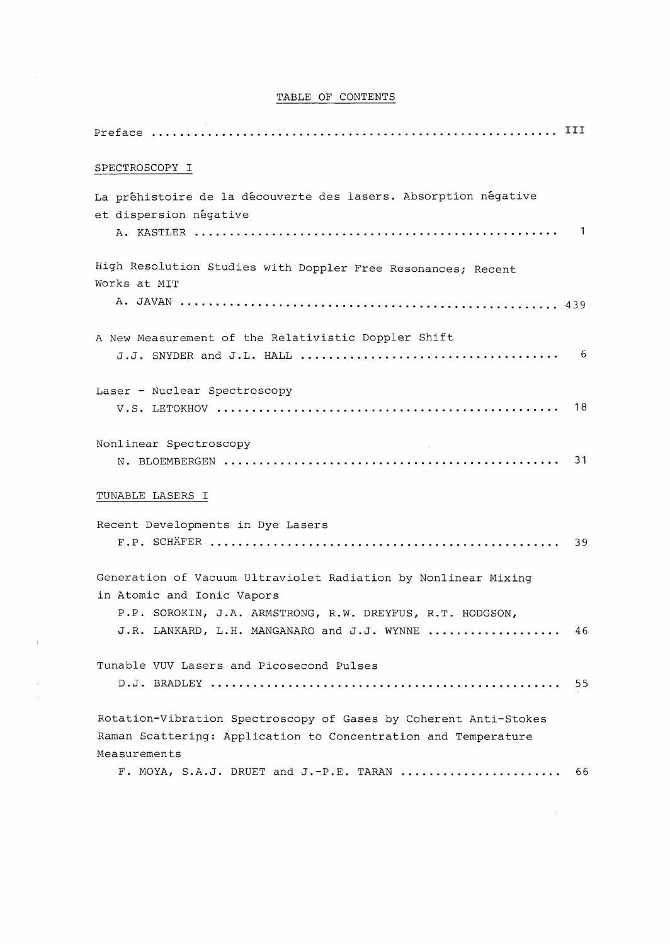## TABLE OF CONTENTS

| SPECTROSCOPY I                                                                                                                                                                                           |    |
|----------------------------------------------------------------------------------------------------------------------------------------------------------------------------------------------------------|----|
| La préhistoire de la découverte des lasers. Absorption négative<br>et dispersion négative                                                                                                                |    |
| High Resolution Studies with Doppler Free Resonances; Recent<br>Works at MIT                                                                                                                             |    |
| A New Measurement of the Relativistic Doppler Shift                                                                                                                                                      |    |
| Laser - Nuclear Spectroscopy                                                                                                                                                                             | 18 |
| Nonlinear Spectroscopy                                                                                                                                                                                   | 31 |
| TUNABLE LASERS I<br>Recent Developments in Dye Lasers                                                                                                                                                    | 39 |
| Generation of Vacuum Ultraviolet Radiation by Nonlinear Mixing<br>in Atomic and Ionic Vapors<br>P.P. SOROKIN, J.A. ARMSTRONG, R.W. DREYFUS, R.T. HODGSON,<br>J.R. LANKARD, L.H. MANGANARO and J.J. WYNNE | 46 |
| Tunable VUV Lasers and Picosecond Pulses                                                                                                                                                                 | 55 |
| Rotation-Vibration Spectroscopy of Gases by Coherent Anti-Stokes<br>Raman Scattering: Application to Concentration and Temperature<br>Measurements                                                       |    |
| F. MOYA, S.A.J. DRUET and J.-P.E. TARAN                                                                                                                                                                  | 66 |

 $\label{eq:2.1} \mathcal{A} = \mathcal{A} \times \mathcal{A}$ 

 $\frac{1}{\sqrt{2}}\frac{1}{\sqrt{2}}\frac{1}{\sqrt{2}}\frac{1}{\sqrt{2}}\frac{1}{\sqrt{2}}\frac{1}{\sqrt{2}}\frac{1}{\sqrt{2}}\frac{1}{\sqrt{2}}\frac{1}{\sqrt{2}}\frac{1}{\sqrt{2}}\frac{1}{\sqrt{2}}\frac{1}{\sqrt{2}}\frac{1}{\sqrt{2}}\frac{1}{\sqrt{2}}\frac{1}{\sqrt{2}}\frac{1}{\sqrt{2}}\frac{1}{\sqrt{2}}\frac{1}{\sqrt{2}}\frac{1}{\sqrt{2}}\frac{1}{\sqrt{2}}\frac{1}{\sqrt{2}}\frac{1}{\sqrt{2}}$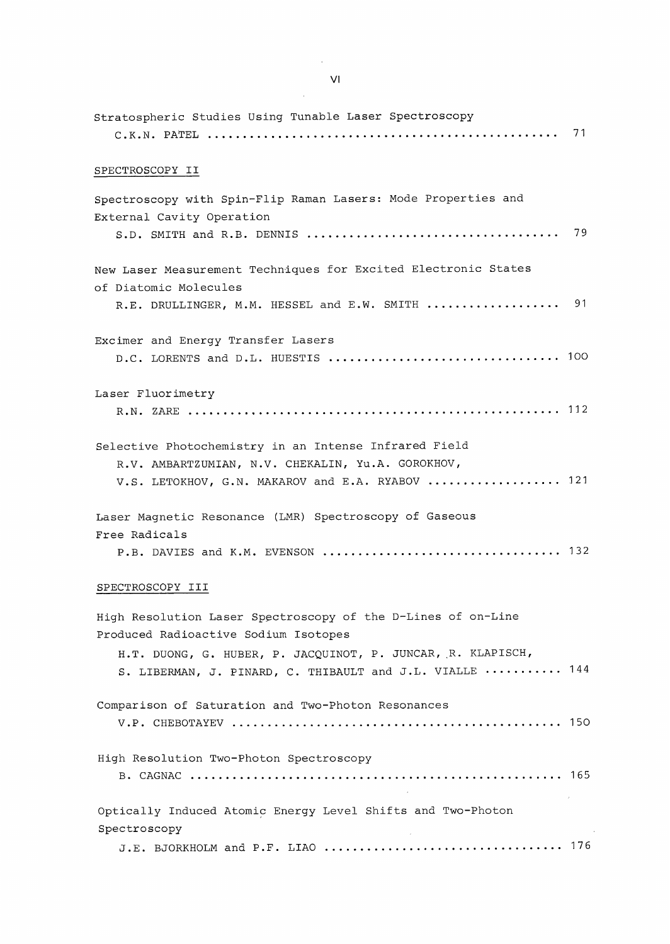| Stratospheric Studies Using Tunable Laser Spectroscopy                                                                                                              |    |
|---------------------------------------------------------------------------------------------------------------------------------------------------------------------|----|
| SPECTROSCOPY II                                                                                                                                                     |    |
| Spectroscopy with Spin-Flip Raman Lasers: Mode Properties and<br>External Cavity Operation                                                                          | 79 |
| New Laser Measurement Techniques for Excited Electronic States<br>of Diatomic Molecules                                                                             |    |
| R.E. DRULLINGER, M.M. HESSEL and E.W. SMITH                                                                                                                         | 91 |
| Excimer and Energy Transfer Lasers                                                                                                                                  |    |
| Laser Fluorimetry                                                                                                                                                   |    |
| Selective Photochemistry in an Intense Infrared Field<br>R.V. AMBARTZUMIAN, N.V. CHEKALIN, Yu.A. GOROKHOV,<br>V.S. LETOKHOV, G.N. MAKAROV and E.A. RYABOV  121      |    |
| Laser Magnetic Resonance (LMR) Spectroscopy of Gaseous<br>Free Radicals                                                                                             |    |
| SPECTROSCOPY III                                                                                                                                                    |    |
| High Resolution Laser Spectroscopy of the D-Lines of on-Line<br>Produced Radioactive Sodium Isotopes<br>H.T. DUONG, G. HUBER, P. JACQUINOT, P. JUNCAR, R. KLAPISCH, |    |
| S. LIBERMAN, J. PINARD, C. THIBAULT and J.L. VIALLE  144                                                                                                            |    |
| Comparison of Saturation and Two-Photon Resonances                                                                                                                  |    |
| High Resolution Two-Photon Spectroscopy                                                                                                                             |    |

Optically Induced Atomic Energy Level Shifts and Two-Photon Spectroscopy  $\sim$   $\sim$ J.E. BJORKHOLM and P.F. LIAO 176

 $\sim 10$ 

 $\frac{1}{\sqrt{2}}$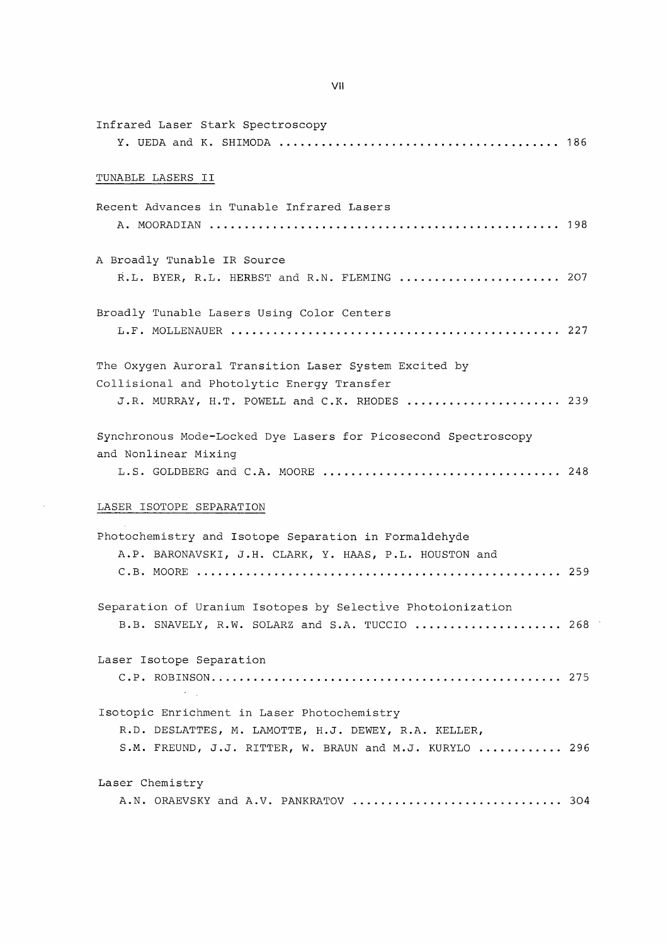| Infrared Laser Stark Spectroscopy                                                                                                                              |  |
|----------------------------------------------------------------------------------------------------------------------------------------------------------------|--|
| TUNABLE LASERS II                                                                                                                                              |  |
| Recent Advances in Tunable Infrared Lasers                                                                                                                     |  |
| A Broadly Tunable IR Source<br>R.L. BYER, R.L. HERBST and R.N. FLEMING  207                                                                                    |  |
| Broadly Tunable Lasers Using Color Centers                                                                                                                     |  |
| The Oxygen Auroral Transition Laser System Excited by<br>Collisional and Photolytic Energy Transfer<br>J.R. MURRAY, H.T. POWELL and C.K. RHODES  239           |  |
| Synchronous Mode-Locked Dye Lasers for Picosecond Spectroscopy<br>and Nonlinear Mixing                                                                         |  |
| LASER ISOTOPE SEPARATION                                                                                                                                       |  |
| Photochemistry and Isotope Separation in Formaldehyde<br>A.P. BARONAVSKI, J.H. CLARK, Y. HAAS, P.L. HOUSTON and                                                |  |
| Separation of Uranium Isotopes by Selective Photoionization<br>B.B. SNAVELY, R.W. SOLARZ and S.A. TUCCIO  268                                                  |  |
| Laser Isotope Separation<br>$\lambda$ and $\lambda$                                                                                                            |  |
| Isotopic Enrichment in Laser Photochemistry<br>R.D. DESLATTES, M. LAMOTTE, H.J. DEWEY, R.A. KELLER,<br>S.M. FREUND, J.J. RITTER, W. BRAUN and M.J. KURYLO  296 |  |
| Laser Chemistry<br>A.N. ORAEVSKY and A.V. PANKRATOV  304                                                                                                       |  |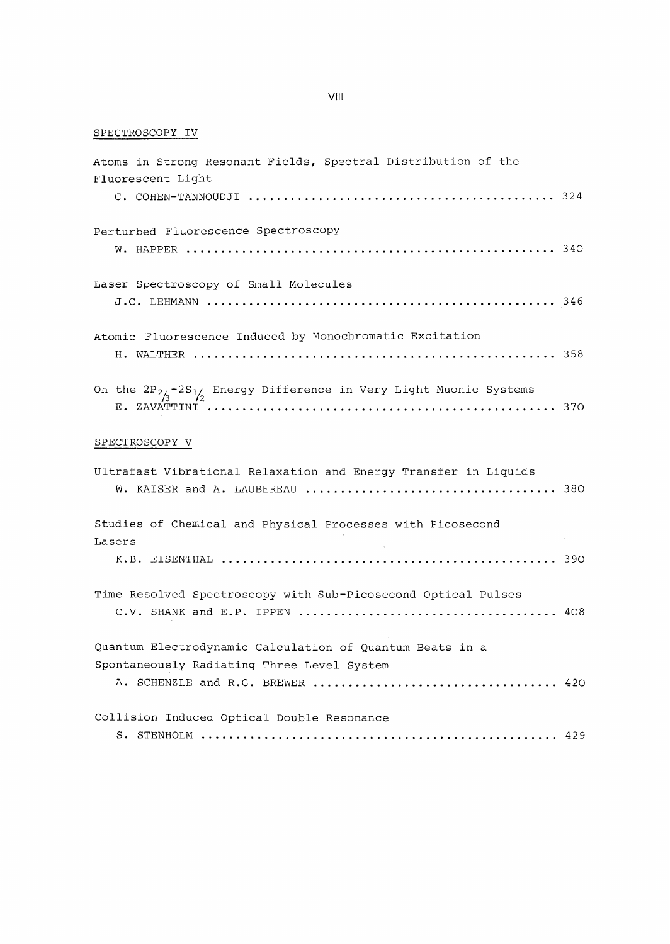## SPECTROSCOPY IV

| Atoms in Strong Resonant Fields, Spectral Distribution of the<br>Fluorescent Light                     |  |
|--------------------------------------------------------------------------------------------------------|--|
|                                                                                                        |  |
| Perturbed Fluorescence Spectroscopy                                                                    |  |
| Laser Spectroscopy of Small Molecules                                                                  |  |
| Atomic Fluorescence Induced by Monochromatic Excitation                                                |  |
| On the $2P_{2/3} - 2S_{1/2}$ Energy Difference in Very Light Muonic Systems                            |  |
| SPECTROSCOPY V                                                                                         |  |
| Ultrafast Vibrational Relaxation and Energy Transfer in Liquids                                        |  |
| Studies of Chemical and Physical Processes with Picosecond<br>Lasers                                   |  |
|                                                                                                        |  |
| Time Resolved Spectroscopy with Sub-Picosecond Optical Pulses                                          |  |
| Quantum Electrodynamic Calculation of Quantum Beats in a<br>Spontaneously Radiating Three Level System |  |
| Collision Induced Optical Double Resonance                                                             |  |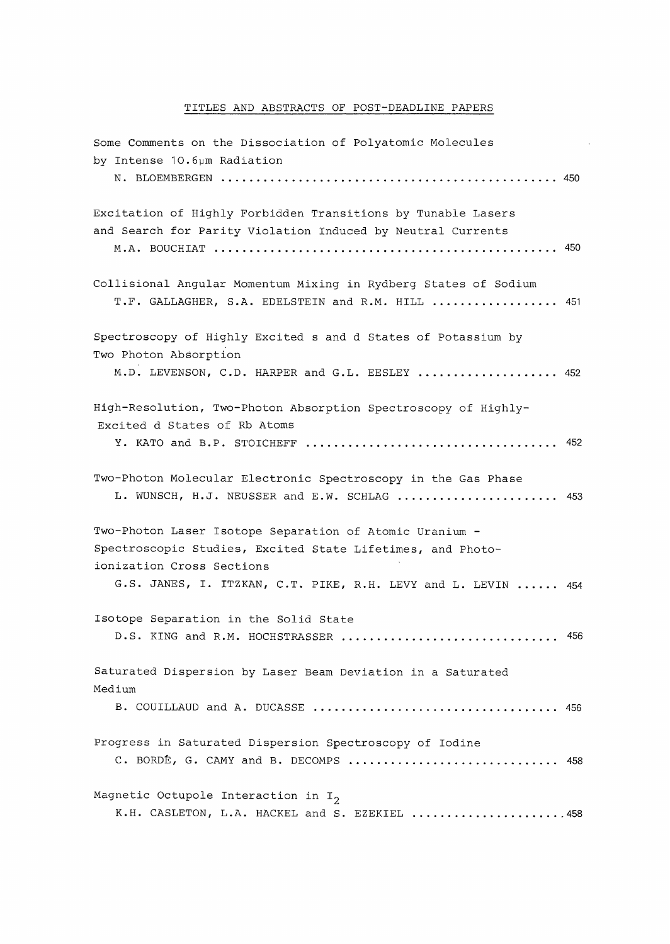## TITLES AND ABSTRACTS OF POST-DEADLINE PAPERS

| Some Comments on the Dissociation of Polyatomic Molecules<br>by Intense 10.6µm Radiation                                    |     |
|-----------------------------------------------------------------------------------------------------------------------------|-----|
|                                                                                                                             |     |
| Excitation of Highly Forbidden Transitions by Tunable Lasers<br>and Search for Parity Violation Induced by Neutral Currents |     |
|                                                                                                                             |     |
| Collisional Angular Momentum Mixing in Rydberg States of Sodium<br>T.F. GALLAGHER, S.A. EDELSTEIN and R.M. HILL  451        |     |
| Spectroscopy of Highly Excited s and d States of Potassium by<br>Two Photon Absorption                                      |     |
| M.D. LEVENSON, C.D. HARPER and G.L. EESLEY  452                                                                             |     |
| High-Resolution, Two-Photon Absorption Spectroscopy of Highly-<br>Excited d States of Rb Atoms                              |     |
|                                                                                                                             |     |
| Two-Photon Molecular Electronic Spectroscopy in the Gas Phase<br>L. WUNSCH, H.J. NEUSSER and E.W. SCHLAG                    | 453 |
| Two-Photon Laser Isotope Separation of Atomic Uranium -                                                                     |     |
| Spectroscopic Studies, Excited State Lifetimes, and Photo-<br>ionization Cross Sections                                     |     |
| G.S. JANES, I. ITZKAN, C.T. PIKE, R.H. LEVY and L. LEVIN  454                                                               |     |
| Isotope Separation in the Solid State                                                                                       |     |
| D.S. KING and R.M. HOCHSTRASSER                                                                                             | 456 |
| Saturated Dispersion by Laser Beam Deviation in a Saturated<br>Medium                                                       |     |
|                                                                                                                             |     |
| Progress in Saturated Dispersion Spectroscopy of Iodine<br>C. BORDÉ, G. CAMY and B. DECOMPS<br>.                            | 458 |
| Magnetic Octupole Interaction in $I_2$<br>K.H. CASLETON, L.A. HACKEL and S. EZEKIEL 458                                     |     |